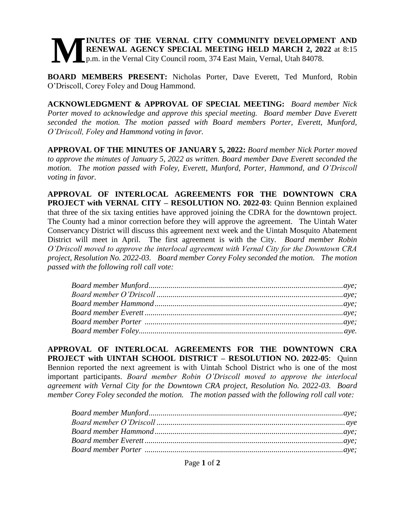## **INUTES OF THE VERNAL CITY COMMUNITY DEVELOPMENT AND RENEWAL AGENCY SPECIAL MEETING HELD MARCH 2, 2022** at 8:15 p.m. in the Vernal City Council room, 374 East Main, Vernal, Utah 84078. **M**

**BOARD MEMBERS PRESENT:** Nicholas Porter, Dave Everett, Ted Munford, Robin O'Driscoll, Corey Foley and Doug Hammond.

**ACKNOWLEDGMENT & APPROVAL OF SPECIAL MEETING:** *Board member Nick Porter moved to acknowledge and approve this special meeting. Board member Dave Everett seconded the motion. The motion passed with Board members Porter, Everett, Munford, O'Driscoll, Foley and Hammond voting in favor.* 

**APPROVAL OF THE MINUTES OF JANUARY 5, 2022:** *Board member Nick Porter moved to approve the minutes of January 5, 2022 as written. Board member Dave Everett seconded the motion. The motion passed with Foley, Everett, Munford, Porter, Hammond, and O'Driscoll voting in favor.* 

**APPROVAL OF INTERLOCAL AGREEMENTS FOR THE DOWNTOWN CRA PROJECT with VERNAL CITY – RESOLUTION NO. 2022-03**: Quinn Bennion explained that three of the six taxing entities have approved joining the CDRA for the downtown project. The County had a minor correction before they will approve the agreement. The Uintah Water Conservancy District will discuss this agreement next week and the Uintah Mosquito Abatement District will meet in April. The first agreement is with the City. *Board member Robin O'Driscoll moved to approve the interlocal agreement with Vernal City for the Downtown CRA project, Resolution No. 2022-03. Board member Corey Foley seconded the motion. The motion passed with the following roll call vote:* 

**APPROVAL OF INTERLOCAL AGREEMENTS FOR THE DOWNTOWN CRA PROJECT with UINTAH SCHOOL DISTRICT – RESOLUTION NO. 2022-05**: Quinn Bennion reported the next agreement is with Uintah School District who is one of the most important participants. *Board member Robin O'Driscoll moved to approve the interlocal agreement with Vernal City for the Downtown CRA project, Resolution No. 2022-03. Board member Corey Foley seconded the motion. The motion passed with the following roll call vote:*